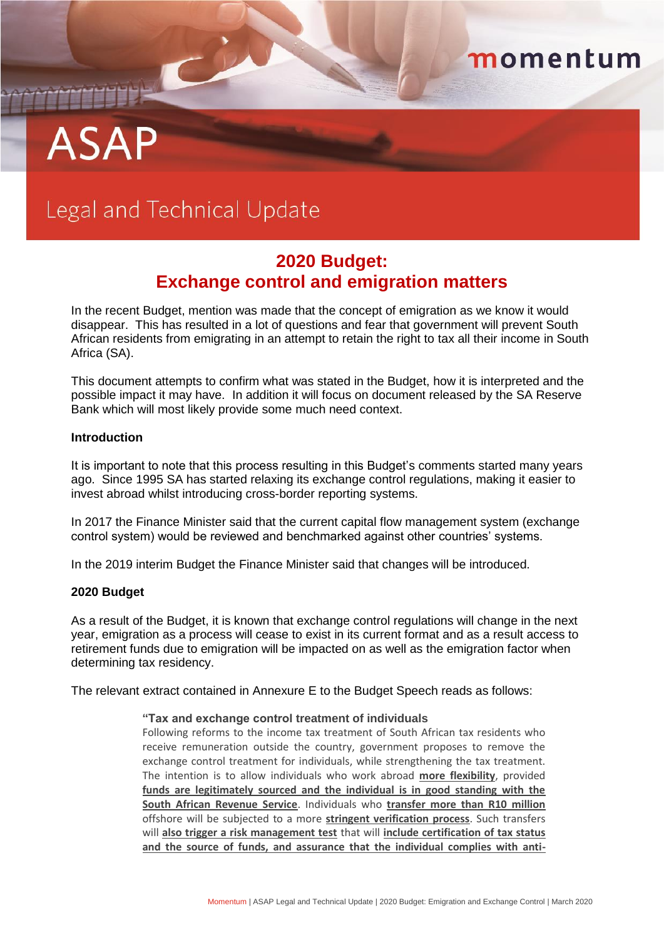# **ASAP**

## Legal and Technical Update

### **2020 Budget: Exchange control and emigration matters**

momentum

In the recent Budget, mention was made that the concept of emigration as we know it would disappear. This has resulted in a lot of questions and fear that government will prevent South African residents from emigrating in an attempt to retain the right to tax all their income in South Africa (SA).

This document attempts to confirm what was stated in the Budget, how it is interpreted and the possible impact it may have. In addition it will focus on document released by the SA Reserve Bank which will most likely provide some much need context.

#### **Introduction**

It is important to note that this process resulting in this Budget's comments started many years ago. Since 1995 SA has started relaxing its exchange control regulations, making it easier to invest abroad whilst introducing cross-border reporting systems.

In 2017 the Finance Minister said that the current capital flow management system (exchange control system) would be reviewed and benchmarked against other countries' systems.

In the 2019 interim Budget the Finance Minister said that changes will be introduced.

#### **2020 Budget**

As a result of the Budget, it is known that exchange control regulations will change in the next year, emigration as a process will cease to exist in its current format and as a result access to retirement funds due to emigration will be impacted on as well as the emigration factor when determining tax residency.

The relevant extract contained in Annexure E to the Budget Speech reads as follows:

#### **"Tax and exchange control treatment of individuals**

Following reforms to the income tax treatment of South African tax residents who receive remuneration outside the country, government proposes to remove the exchange control treatment for individuals, while strengthening the tax treatment. The intention is to allow individuals who work abroad **more flexibility**, provided **funds are legitimately sourced and the individual is in good standing with the South African Revenue Service**. Individuals who **transfer more than R10 million** offshore will be subjected to a more **stringent verification process**. Such transfers will **also trigger a risk management test** that will **include certification of tax status and the source of funds, and assurance that the individual complies with anti-**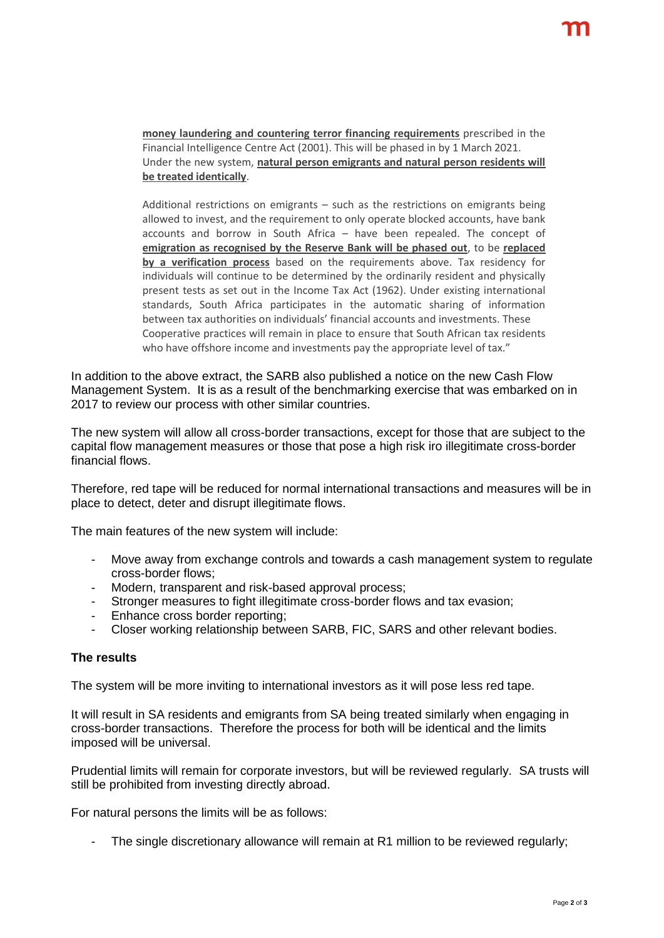**money laundering and countering terror financing requirements** prescribed in the Financial Intelligence Centre Act (2001). This will be phased in by 1 March 2021. Under the new system, **natural person emigrants and natural person residents will be treated identically**.

Additional restrictions on emigrants – such as the restrictions on emigrants being allowed to invest, and the requirement to only operate blocked accounts, have bank accounts and borrow in South Africa – have been repealed. The concept of **emigration as recognised by the Reserve Bank will be phased out**, to be **replaced by a verification process** based on the requirements above. Tax residency for individuals will continue to be determined by the ordinarily resident and physically present tests as set out in the Income Tax Act (1962). Under existing international standards, South Africa participates in the automatic sharing of information between tax authorities on individuals' financial accounts and investments. These Cooperative practices will remain in place to ensure that South African tax residents who have offshore income and investments pay the appropriate level of tax."

In addition to the above extract, the SARB also published a notice on the new Cash Flow Management System. It is as a result of the benchmarking exercise that was embarked on in 2017 to review our process with other similar countries.

The new system will allow all cross-border transactions, except for those that are subject to the capital flow management measures or those that pose a high risk iro illegitimate cross-border financial flows.

Therefore, red tape will be reduced for normal international transactions and measures will be in place to detect, deter and disrupt illegitimate flows.

The main features of the new system will include:

- Move away from exchange controls and towards a cash management system to regulate cross-border flows;
- Modern, transparent and risk-based approval process;
- Stronger measures to fight illegitimate cross-border flows and tax evasion;
- Enhance cross border reporting;
- Closer working relationship between SARB, FIC, SARS and other relevant bodies.

#### **The results**

The system will be more inviting to international investors as it will pose less red tape.

It will result in SA residents and emigrants from SA being treated similarly when engaging in cross-border transactions. Therefore the process for both will be identical and the limits imposed will be universal.

Prudential limits will remain for corporate investors, but will be reviewed regularly. SA trusts will still be prohibited from investing directly abroad.

For natural persons the limits will be as follows:

The single discretionary allowance will remain at R1 million to be reviewed regularly;